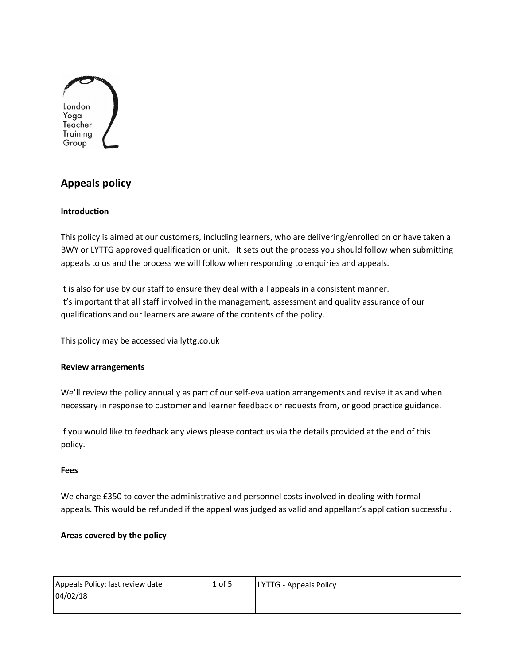

# **Appeals policy**

### **Introduction**

This policy is aimed at our customers, including learners, who are delivering/enrolled on or have taken a BWY or LYTTG approved qualification or unit. It sets out the process you should follow when submitting appeals to us and the process we will follow when responding to enquiries and appeals.

It is also for use by our staff to ensure they deal with all appeals in a consistent manner. It's important that all staff involved in the management, assessment and quality assurance of our qualifications and our learners are aware of the contents of the policy.

This policy may be accessed via lyttg.co.uk

#### **Review arrangements**

We'll review the policy annually as part of our self-evaluation arrangements and revise it as and when necessary in response to customer and learner feedback or requests from, or good practice guidance.

If you would like to feedback any views please contact us via the details provided at the end of this policy.

#### **Fees**

We charge £350 to cover the administrative and personnel costs involved in dealing with formal appeals. This would be refunded if the appeal was judged as valid and appellant's application successful.

## **Areas covered by the policy**

| Appeals Policy; last review date | $1$ of 5 | <b>LYTTG - Appeals Policy</b> |
|----------------------------------|----------|-------------------------------|
| 04/02/18                         |          |                               |
|                                  |          |                               |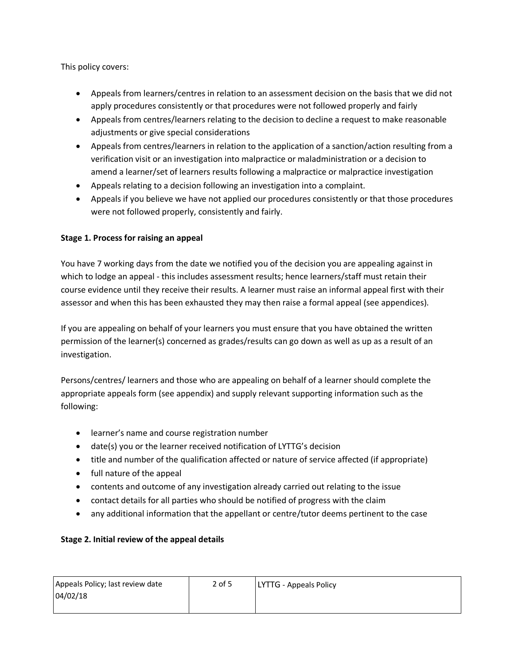This policy covers:

- Appeals from learners/centres in relation to an assessment decision on the basis that we did not apply procedures consistently or that procedures were not followed properly and fairly
- Appeals from centres/learners relating to the decision to decline a request to make reasonable adjustments or give special considerations
- Appeals from centres/learners in relation to the application of a sanction/action resulting from a verification visit or an investigation into malpractice or maladministration or a decision to amend a learner/set of learners results following a malpractice or malpractice investigation
- Appeals relating to a decision following an investigation into a complaint.
- Appeals if you believe we have not applied our procedures consistently or that those procedures were not followed properly, consistently and fairly.

# **Stage 1. Process for raising an appeal**

You have 7 working days from the date we notified you of the decision you are appealing against in which to lodge an appeal - this includes assessment results; hence learners/staff must retain their course evidence until they receive their results. A learner must raise an informal appeal first with their assessor and when this has been exhausted they may then raise a formal appeal (see appendices).

If you are appealing on behalf of your learners you must ensure that you have obtained the written permission of the learner(s) concerned as grades/results can go down as well as up as a result of an investigation.

Persons/centres/ learners and those who are appealing on behalf of a learner should complete the appropriate appeals form (see appendix) and supply relevant supporting information such as the following:

- learner's name and course registration number
- date(s) you or the learner received notification of LYTTG's decision
- title and number of the qualification affected or nature of service affected (if appropriate)
- full nature of the appeal
- contents and outcome of any investigation already carried out relating to the issue
- contact details for all parties who should be notified of progress with the claim
- any additional information that the appellant or centre/tutor deems pertinent to the case

# **Stage 2. Initial review of the appeal details**

| Appeals Policy; last review date | $2$ of 5 | LYTTG - Appeals Policy |
|----------------------------------|----------|------------------------|
| 04/02/18                         |          |                        |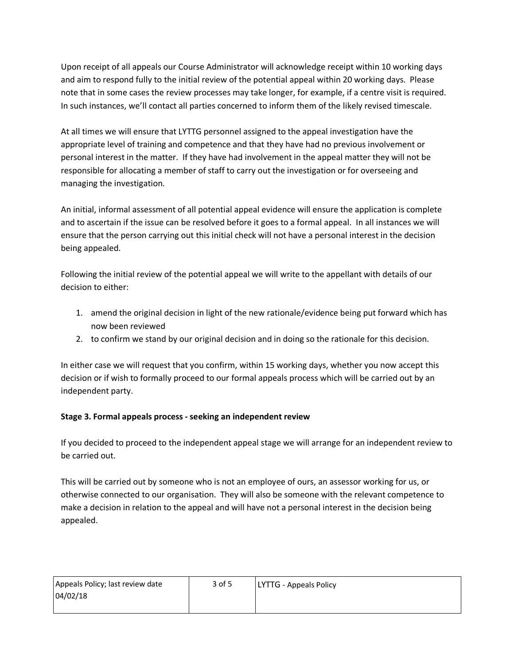Upon receipt of all appeals our Course Administrator will acknowledge receipt within 10 working days and aim to respond fully to the initial review of the potential appeal within 20 working days. Please note that in some cases the review processes may take longer, for example, if a centre visit is required. In such instances, we'll contact all parties concerned to inform them of the likely revised timescale.

At all times we will ensure that LYTTG personnel assigned to the appeal investigation have the appropriate level of training and competence and that they have had no previous involvement or personal interest in the matter. If they have had involvement in the appeal matter they will not be responsible for allocating a member of staff to carry out the investigation or for overseeing and managing the investigation.

An initial, informal assessment of all potential appeal evidence will ensure the application is complete and to ascertain if the issue can be resolved before it goes to a formal appeal. In all instances we will ensure that the person carrying out this initial check will not have a personal interest in the decision being appealed.

Following the initial review of the potential appeal we will write to the appellant with details of our decision to either:

- 1. amend the original decision in light of the new rationale/evidence being put forward which has now been reviewed
- 2. to confirm we stand by our original decision and in doing so the rationale for this decision.

In either case we will request that you confirm, within 15 working days, whether you now accept this decision or if wish to formally proceed to our formal appeals process which will be carried out by an independent party.

# **Stage 3. Formal appeals process - seeking an independent review**

If you decided to proceed to the independent appeal stage we will arrange for an independent review to be carried out.

This will be carried out by someone who is not an employee of ours, an assessor working for us, or otherwise connected to our organisation. They will also be someone with the relevant competence to make a decision in relation to the appeal and will have not a personal interest in the decision being appealed.

| Appeals Policy; last review date | 3 of 5 | <b>LYTTG</b> - Appeals Policy |
|----------------------------------|--------|-------------------------------|
| 04/02/18                         |        |                               |
|                                  |        |                               |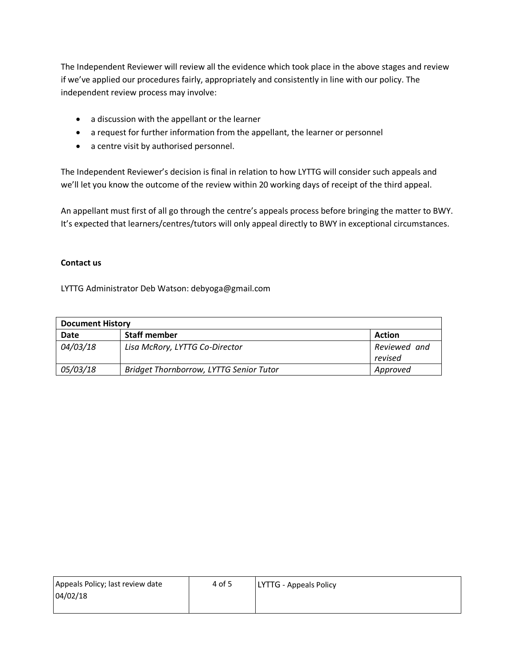The Independent Reviewer will review all the evidence which took place in the above stages and review if we've applied our procedures fairly, appropriately and consistently in line with our policy. The independent review process may involve:

- a discussion with the appellant or the learner
- a request for further information from the appellant, the learner or personnel
- a centre visit by authorised personnel.

The Independent Reviewer's decision is final in relation to how LYTTG will consider such appeals and we'll let you know the outcome of the review within 20 working days of receipt of the third appeal.

An appellant must first of all go through the centre's appeals process before bringing the matter to BWY. It's expected that learners/centres/tutors will only appeal directly to BWY in exceptional circumstances.

### **Contact us**

LYTTG Administrator Deb Watson: debyoga@gmail.com

| <b>Document History</b> |                                         |                         |
|-------------------------|-----------------------------------------|-------------------------|
| Date                    | <b>Staff member</b>                     | <b>Action</b>           |
| 04/03/18                | Lisa McRory, LYTTG Co-Director          | Reviewed and<br>revised |
| 05/03/18                | Bridget Thornborrow, LYTTG Senior Tutor | Approved                |

| Appeals Policy; last review date | 4 of 5 | <b>LYTTG - Appeals Policy</b> |
|----------------------------------|--------|-------------------------------|
| 04/02/18                         |        |                               |
|                                  |        |                               |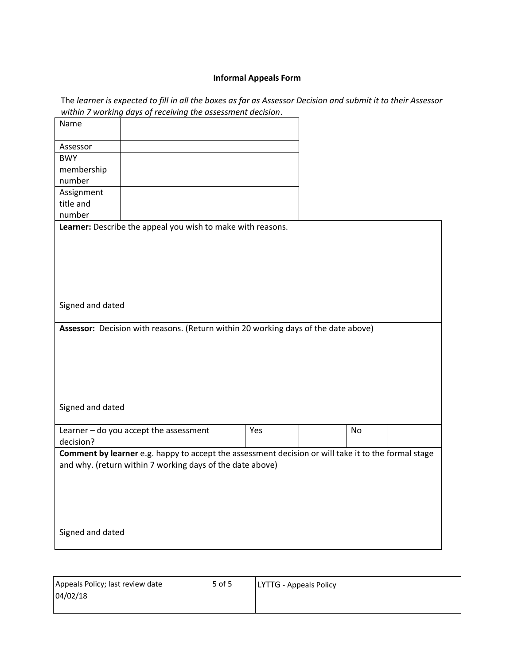### **Informal Appeals Form**

The *learner is expected to fill in all the boxes as far as Assessor Decision and submit it to their Assessor within 7 working days of receiving the assessment decision*.

| Name             |                                                                                                     |     |           |  |
|------------------|-----------------------------------------------------------------------------------------------------|-----|-----------|--|
| Assessor         |                                                                                                     |     |           |  |
| <b>BWY</b>       |                                                                                                     |     |           |  |
| membership       |                                                                                                     |     |           |  |
| number           |                                                                                                     |     |           |  |
| Assignment       |                                                                                                     |     |           |  |
| title and        |                                                                                                     |     |           |  |
| number           |                                                                                                     |     |           |  |
|                  | Learner: Describe the appeal you wish to make with reasons.                                         |     |           |  |
|                  |                                                                                                     |     |           |  |
|                  |                                                                                                     |     |           |  |
|                  |                                                                                                     |     |           |  |
|                  |                                                                                                     |     |           |  |
|                  |                                                                                                     |     |           |  |
|                  |                                                                                                     |     |           |  |
| Signed and dated |                                                                                                     |     |           |  |
|                  |                                                                                                     |     |           |  |
|                  | Assessor: Decision with reasons. (Return within 20 working days of the date above)                  |     |           |  |
|                  |                                                                                                     |     |           |  |
|                  |                                                                                                     |     |           |  |
|                  |                                                                                                     |     |           |  |
|                  |                                                                                                     |     |           |  |
|                  |                                                                                                     |     |           |  |
|                  |                                                                                                     |     |           |  |
| Signed and dated |                                                                                                     |     |           |  |
|                  |                                                                                                     |     |           |  |
|                  | Learner - do you accept the assessment                                                              | Yes | <b>No</b> |  |
| decision?        |                                                                                                     |     |           |  |
|                  | Comment by learner e.g. happy to accept the assessment decision or will take it to the formal stage |     |           |  |
|                  | and why. (return within 7 working days of the date above)                                           |     |           |  |
|                  |                                                                                                     |     |           |  |
|                  |                                                                                                     |     |           |  |
|                  |                                                                                                     |     |           |  |
|                  |                                                                                                     |     |           |  |
|                  |                                                                                                     |     |           |  |
|                  |                                                                                                     |     |           |  |
| Signed and dated |                                                                                                     |     |           |  |

| Appeals Policy; last review date | 5 of 5 | <b>LYTTG - Appeals Policy</b> |
|----------------------------------|--------|-------------------------------|
| 04/02/18                         |        |                               |
|                                  |        |                               |